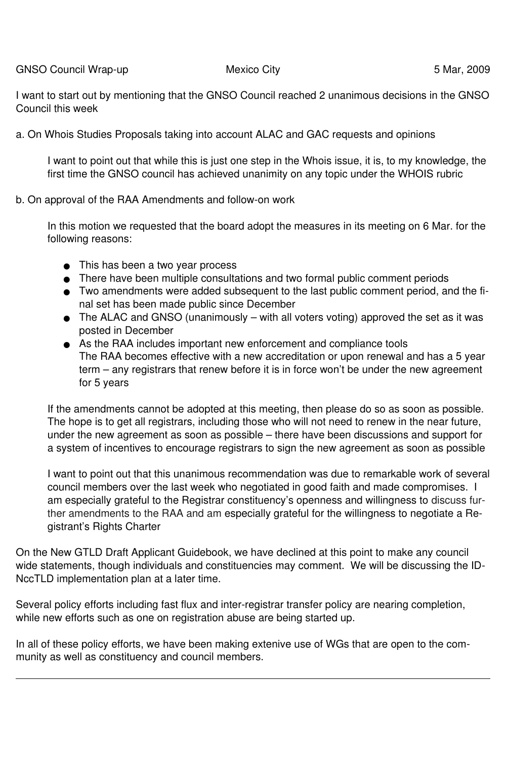GNSO Council Wrap-up **Mexico City Mexico City** 6 Mar, 2009

I want to start out by mentioning that the GNSO Council reached 2 unanimous decisions in the GNSO Council this week

a. On Whois Studies Proposals taking into account ALAC and GAC requests and opinions

I want to point out that while this is just one step in the Whois issue, it is, to my knowledge, the first time the GNSO council has achieved unanimity on any topic under the WHOIS rubric

b. On approval of the RAA Amendments and follow-on work

In this motion we requested that the board adopt the measures in its meeting on 6 Mar. for the following reasons:

- This has been a two year process
- There have been multiple consultations and two formal public comment periods
- Two amendments were added subsequent to the last public comment period, and the final set has been made public since December
- $\bullet$  The ALAC and GNSO (unanimously with all voters voting) approved the set as it was posted in December
- As the RAA includes important new enforcement and compliance tools The RAA becomes effective with a new accreditation or upon renewal and has a 5 year term – any registrars that renew before it is in force won't be under the new agreement for 5 years

If the amendments cannot be adopted at this meeting, then please do so as soon as possible. The hope is to get all registrars, including those who will not need to renew in the near future, under the new agreement as soon as possible – there have been discussions and support for a system of incentives to encourage registrars to sign the new agreement as soon as possible

I want to point out that this unanimous recommendation was due to remarkable work of several council members over the last week who negotiated in good faith and made compromises. I am especially grateful to the Registrar constituency's openness and willingness to discuss further amendments to the RAA and am especially grateful for the willingness to negotiate a Registrant's Rights Charter

On the New GTLD Draft Applicant Guidebook, we have declined at this point to make any council wide statements, though individuals and constituencies may comment. We will be discussing the ID-NccTLD implementation plan at a later time.

Several policy efforts including fast flux and inter-registrar transfer policy are nearing completion, while new efforts such as one on registration abuse are being started up.

In all of these policy efforts, we have been making extenive use of WGs that are open to the community as well as constituency and council members.